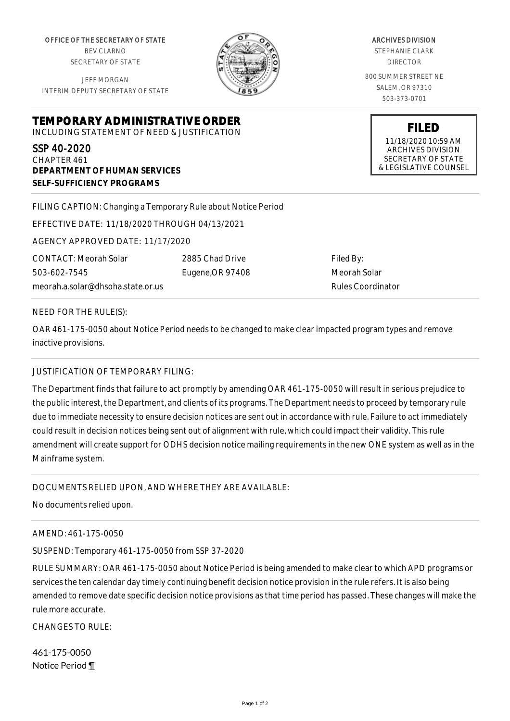OFFICE OF THE SECRETARY OF STATE BEV CLARNO SECRETARY OF STATE

JEFF MORGAN INTERIM DEPUTY SECRETARY OF STATE

**DEPARTMENT OF HUMAN SERVICES**

**SELF-SUFFICIENCY PROGRAMS**



ARCHIVES DIVISION

STEPHANIE CLARK DIRECTOR

800 SUMMER STREET NE SALEM, OR 97310 503-373-0701

> **FILED** 11/18/2020 10:59 AM ARCHIVES DIVISION SECRETARY OF STATE & LEGISLATIVE COUNSEL

FILING CAPTION: Changing a Temporary Rule about Notice Period

EFFECTIVE DATE: 11/18/2020 THROUGH 04/13/2021

**TEMPORARY ADMINISTRATIVE ORDER** INCLUDING STATEMENT OF NEED & JUSTIFICATION

AGENCY APPROVED DATE: 11/17/2020

CONTACT: Meorah Solar 503-602-7545 meorah.a.solar@dhsoha.state.or.us 2885 Chad Drive Eugene,OR 97408 Filed By: Meorah Solar Rules Coordinator

## NEED FOR THE RULE(S):

SSP 40-2020 CHAPTER 461

OAR 461-175-0050 about Notice Period needs to be changed to make clear impacted program types and remove inactive provisions.

## JUSTIFICATION OF TEMPORARY FILING:

The Department finds that failure to act promptly by amending OAR 461-175-0050 will result in serious prejudice to the public interest, the Department, and clients of its programs. The Department needs to proceed by temporary rule due to immediate necessity to ensure decision notices are sent out in accordance with rule. Failure to act immediately could result in decision notices being sent out of alignment with rule, which could impact their validity. This rule amendment will create support for ODHS decision notice mailing requirements in the new ONE system as well as in the Mainframe system.

## DOCUMENTS RELIED UPON, AND WHERE THEY ARE AVAILABLE:

No documents relied upon.

## AMEND: 461-175-0050

SUSPEND: Temporary 461-175-0050 from SSP 37-2020

RULE SUMMARY: OAR 461-175-0050 about Notice Period is being amended to make clear to which APD programs or services the ten calendar day timely continuing benefit decision notice provision in the rule refers. It is also being amended to remove date specific decision notice provisions as that time period has passed. These changes will make the rule more accurate.

CHANGES TO RULE:

461-175-0050 Notice Period ¶